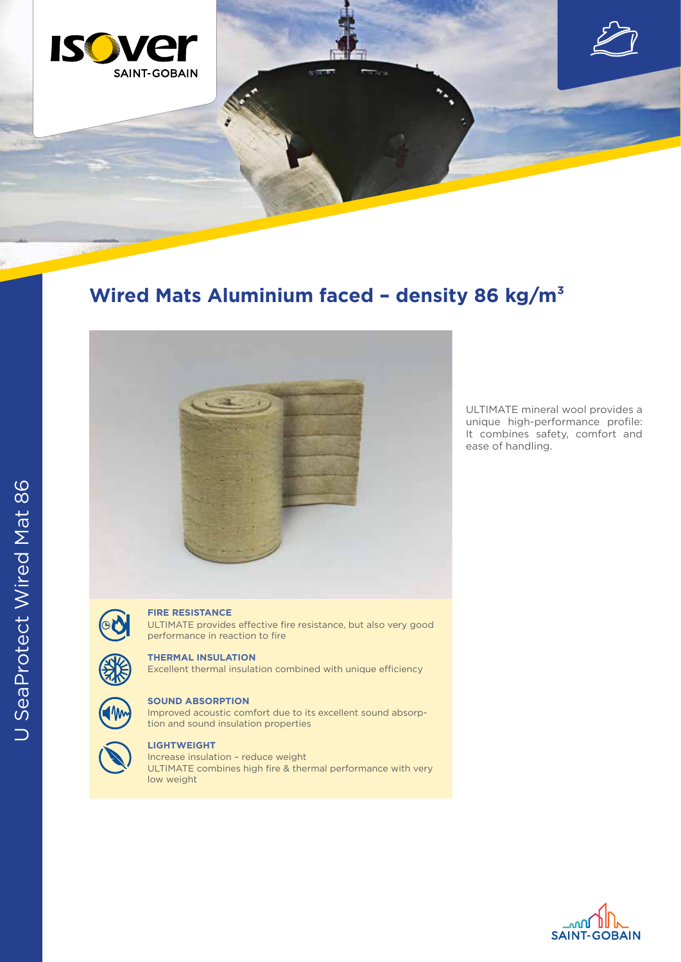

# **Wired Mats Aluminium faced – density 86 kg/m³**



ULTIMATE mineral wool provides a unique high-performance profile: It combines safety, comfort and ease of handling.



### **FIRE RESISTANCE**

ULTIMATE provides effective fire resistance, but also very good performance in reaction to fire

#### **THERMAL INSULATION**

Excellent thermal insulation combined with unique efficiency



#### **SOUND ABSORPTION**

Improved acoustic comfort due to its excellent sound absorption and sound insulation properties



## **LIGHTWEIGHT**

Increase insulation – reduce weight ULTIMATE combines high fire & thermal performance with very low weight